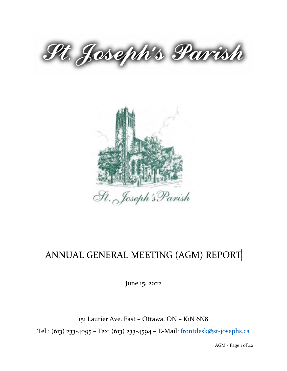



# ANNUAL GENERAL MEETING (AGM) REPORT

June 15, 2022

151 Laurier Ave. East – Ottawa, ON – K1N 6N8

Tel.: (613) 233-4095 – Fax: (613) 233-4594 – E-Mail: [frontdesk@st-josephs.ca](mailto:frontdesk@st-josephs.ca)

AGM - Page 1 of 42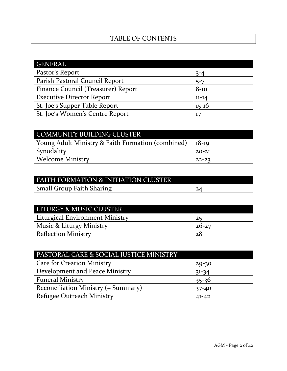# TABLE OF CONTENTS

| <b>GENERAL</b>                     |           |
|------------------------------------|-----------|
| Pastor's Report                    | $3 - 4$   |
| Parish Pastoral Council Report     | $5 - 7$   |
| Finance Council (Treasurer) Report | $8-10$    |
| <b>Executive Director Report</b>   | $11 - 14$ |
| St. Joe's Supper Table Report      | $15 - 16$ |
| St. Joe's Women's Centre Report    | 17        |

| <b>COMMUNITY BUILDING CLUSTER</b>                 |           |
|---------------------------------------------------|-----------|
| Young Adult Ministry & Faith Formation (combined) | $18-19$   |
| <b>Synodality</b>                                 | $20 - 21$ |
| <b>Welcome Ministry</b>                           | $22 - 23$ |

| <b>FAITH FORMATION &amp; INITIATION CLUSTER</b> |    |
|-------------------------------------------------|----|
| <b>Small Group Faith Sharing</b>                | 24 |

| LITURGY & MUSIC CLUSTER         |           |
|---------------------------------|-----------|
| Liturgical Environment Ministry | 25        |
| Music & Liturgy Ministry        | $26 - 27$ |
| <b>Reflection Ministry</b>      | 28        |

| PASTORAL CARE & SOCIAL JUSTICE MINISTRY    |           |
|--------------------------------------------|-----------|
| <b>Care for Creation Ministry</b>          | $29 - 30$ |
| Development and Peace Ministry             | $31 - 34$ |
| <b>Funeral Ministry</b>                    | $35 - 36$ |
| <b>Reconciliation Ministry (+ Summary)</b> | $37 - 40$ |
| <b>Refugee Outreach Ministry</b>           | $41 - 42$ |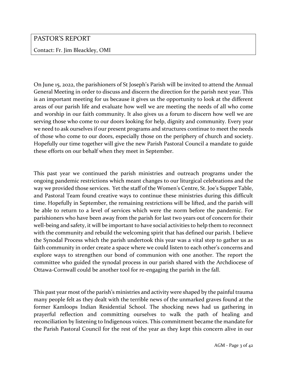# PASTOR'S REPORT

Contact: Fr. Jim Bleackley, OMI

On June 15, 2022, the parishioners of St Joseph's Parish will be invited to attend the Annual General Meeting in order to discuss and discern the direction for the parish next year. This is an important meeting for us because it gives us the opportunity to look at the different areas of our parish life and evaluate how well we are meeting the needs of all who come and worship in our faith community. It also gives us a forum to discern how well we are serving those who come to our doors looking for help, dignity and community. Every year we need to ask ourselves if our present programs and structures continue to meet the needs of those who come to our doors, especially those on the periphery of church and society. Hopefully our time together will give the new Parish Pastoral Council a mandate to guide these efforts on our behalf when they meet in September.

This past year we continued the parish ministries and outreach programs under the ongoing pandemic restrictions which meant changes to our liturgical celebrations and the way we provided those services. Yet the staff of the Women's Centre, St. Joe's Supper Table, and Pastoral Team found creative ways to continue these ministries during this difficult time. Hopefully in September, the remaining restrictions will be lifted, and the parish will be able to return to a level of services which were the norm before the pandemic. For parishioners who have been away from the parish for last two years out of concern for their well-being and safety, it will be important to have social activities to help them to reconnect with the community and rebuild the welcoming spirit that has defined our parish. I believe the Synodal Process which the parish undertook this year was a vital step to gather us as faith community in order create a space where we could listen to each other's concerns and explore ways to strengthen our bond of communion with one another. The report the committee who guided the synodal process in our parish shared with the Archdiocese of Ottawa-Cornwall could be another tool for re-engaging the parish in the fall.

This past year most of the parish's ministries and activity were shaped by the painful trauma many people felt as they dealt with the terrible news of the unmarked graves found at the former Kamloops Indian Residential School. The shocking news had us gathering in prayerful reflection and committing ourselves to walk the path of healing and reconciliation by listening to Indigenous voices. This commitment became the mandate for the Parish Pastoral Council for the rest of the year as they kept this concern alive in our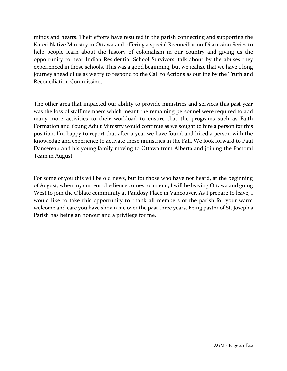minds and hearts. Their efforts have resulted in the parish connecting and supporting the Kateri Native Ministry in Ottawa and offering a special Reconciliation Discussion Series to help people learn about the history of colonialism in our country and giving us the opportunity to hear Indian Residential School Survivors' talk about by the abuses they experienced in those schools. This was a good beginning, but we realize that we have a long journey ahead of us as we try to respond to the Call to Actions as outline by the Truth and Reconciliation Commission.

The other area that impacted our ability to provide ministries and services this past year was the loss of staff members which meant the remaining personnel were required to add many more activities to their workload to ensure that the programs such as Faith Formation and Young Adult Ministry would continue as we sought to hire a person for this position. I'm happy to report that after a year we have found and hired a person with the knowledge and experience to activate these ministries in the Fall. We look forward to Paul Dansereau and his young family moving to Ottawa from Alberta and joining the Pastoral Team in August.

For some of you this will be old news, but for those who have not heard, at the beginning of August, when my current obedience comes to an end, I will be leaving Ottawa and going West to join the Oblate community at Pandosy Place in Vancouver. As I prepare to leave, I would like to take this opportunity to thank all members of the parish for your warm welcome and care you have shown me over the past three years. Being pastor of St. Joseph's Parish has being an honour and a privilege for me.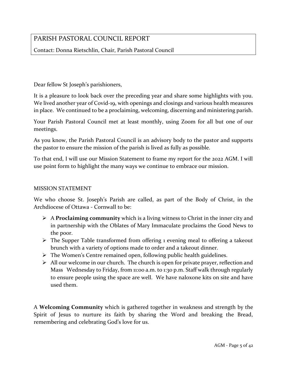# PARISH PASTORAL COUNCIL REPORT

Contact: Donna Rietschlin, Chair, Parish Pastoral Council

Dear fellow St Joseph's parishioners,

It is a pleasure to look back over the preceding year and share some highlights with you. We lived another year of Covid-19, with openings and closings and various health measures in place. We continued to be a proclaiming, welcoming, discerning and ministering parish.

Your Parish Pastoral Council met at least monthly, using Zoom for all but one of our meetings.

As you know, the Parish Pastoral Council is an advisory body to the pastor and supports the pastor to ensure the mission of the parish is lived as fully as possible.

To that end, I will use our Mission Statement to frame my report for the 2022 AGM. I will use point form to highlight the many ways we continue to embrace our mission.

#### MISSION STATEMENT

We who choose St. Joseph's Parish are called, as part of the Body of Christ, in the Archdiocese of Ottawa - Cornwall to be:

- ➢ A **Proclaiming community** which is a living witness to Christ in the inner city and in partnership with the Oblates of Mary Immaculate proclaims the Good News to the poor.
- ➢ The Supper Table transformed from offering 1 evening meal to offering a takeout brunch with a variety of options made to order and a takeout dinner.
- ➢ The Women's Centre remained open, following public health guidelines.
- $\triangleright$  All our welcome in our church. The church is open for private prayer, reflection and Mass Wednesday to Friday, from 11:00 a.m. to 1:30 p.m. Staff walk through regularly to ensure people using the space are well. We have naloxone kits on site and have used them.

A **Welcoming Community** which is gathered together in weakness and strength by the Spirit of Jesus to nurture its faith by sharing the Word and breaking the Bread, remembering and celebrating God's love for us.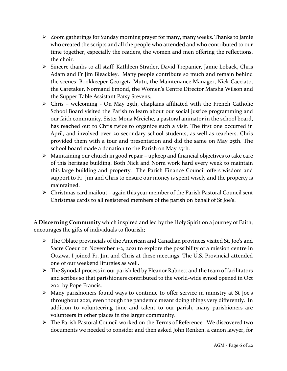- ➢ Zoom gatherings for Sunday morning prayer for many, many weeks. Thanks to Jamie who created the scripts and all the people who attended and who contributed to our time together, especially the readers, the women and men offering the reflections, the choir.
- ➢ Sincere thanks to all staff: Kathleen Strader, David Trepanier, Jamie Loback, Chris Adam and Fr Jim Bleackley. Many people contribute so much and remain behind the scenes: Bookkeeper Georgeta Mutu, the Maintenance Manager, Nick Cacciato, the Caretaker, Normand Emond, the Women's Centre Director Marsha Wilson and the Supper Table Assistant Patsy Stevens.
- ➢ Chris welcoming On May 25th, chaplains affiliated with the French Catholic School Board visited the Parish to learn about our social justice programming and our faith community. Sister Mona Mreiche, a pastoral animator in the school board, has reached out to Chris twice to organize such a visit. The first one occurred in April, and involved over 20 secondary school students, as well as teachers. Chris provided them with a tour and presentation and did the same on May 25th. The school board made a donation to the Parish on May 25th.
- $\triangleright$  Maintaining our church in good repair upkeep and financial objectives to take care of this heritage building. Both Nick and Norm work hard every week to maintain this large building and property. The Parish Finance Council offers wisdom and support to Fr. Jim and Chris to ensure our money is spent wisely and the property is maintained.
- $\triangleright$  Christmas card mailout again this year member of the Parish Pastoral Council sent Christmas cards to all registered members of the parish on behalf of St Joe's.

A **Discerning Community** which inspired and led by the Holy Spirit on a journey of Faith, encourages the gifts of individuals to flourish;

- ➢ The Oblate provincials of the American and Canadian provinces visited St. Joe's and Sacre Coeur on November 1-2, 2021 to explore the possibility of a mission centre in Ottawa. I joined Fr. Jim and Chris at these meetings. The U.S. Provincial attended one of our weekend liturgies as well.
- ➢ The Synodal process in our parish led by Eleanor Rabnett and the team of facilitators and scribes so that parishioners contributed to the world-wide synod opened in Oct 2021 by Pope Francis.
- ➢ Many parishioners found ways to continue to offer service in ministry at St Joe's throughout 2021, even though the pandemic meant doing things very differently. In addition to volunteering time and talent to our parish, many parishioners are volunteers in other places in the larger community.
- ➢ The Parish Pastoral Council worked on the Terms of Reference. We discovered two documents we needed to consider and then asked John Renken, a canon lawyer, for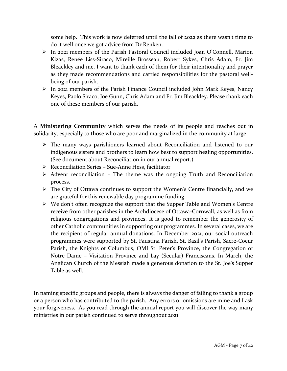some help. This work is now deferred until the fall of 2022 as there wasn't time to do it well once we got advice from Dr Renken.

- ➢ In 2021 members of the Parish Pastoral Council included Joan O'Connell, Marion Kizas, Renée Liss-Siraco, Mireille Brosseau, Robert Sykes, Chris Adam, Fr. Jim Bleackley and me. I want to thank each of them for their intentionality and prayer as they made recommendations and carried responsibilities for the pastoral wellbeing of our parish.
- ➢ In 2021 members of the Parish Finance Council included John Mark Keyes, Nancy Keyes, Paolo Siraco, Joe Gunn, Chris Adam and Fr. Jim Bleackley. Please thank each one of these members of our parish.

A **Ministering Community** which serves the needs of its people and reaches out in solidarity, especially to those who are poor and marginalized in the community at large.

- $\triangleright$  The many ways parishioners learned about Reconciliation and listened to our indigenous sisters and brothers to learn how best to support healing opportunities. (See document about Reconciliation in our annual report.)
- ➢ Reconciliation Series Sue-Anne Hess, facilitator
- $\triangleright$  Advent reconciliation The theme was the ongoing Truth and Reconciliation process.
- ➢ The City of Ottawa continues to support the Women's Centre financially, and we are grateful for this renewable day programme funding.
- ➢ We don't often recognize the support that the Supper Table and Women's Centre receive from other parishes in the Archdiocese of Ottawa-Cornwall, as well as from religious congregations and provinces. It is good to remember the generosity of other Catholic communities in supporting our programmes. In several cases, we are the recipient of regular annual donations. In December 2021, our social outreach programmes were supported by St. Faustina Parish, St. Basil's Parish, Sacré-Coeur Parish, the Knights of Columbus, OMI St. Peter's Province, the Congregation of Notre Dame – Visitation Province and Lay (Secular) Franciscans. In March, the Anglican Church of the Messiah made a generous donation to the St. Joe's Supper Table as well.

In naming specific groups and people, there is always the danger of failing to thank a group or a person who has contributed to the parish. Any errors or omissions are mine and I ask your forgiveness. As you read through the annual report you will discover the way many ministries in our parish continued to serve throughout 2021.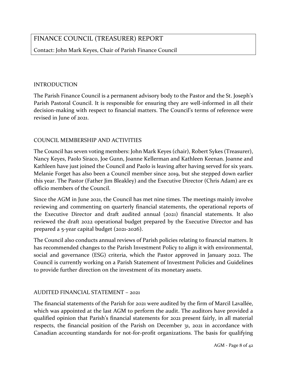# FINANCE COUNCIL (TREASURER) REPORT

Contact: John Mark Keyes, Chair of Parish Finance Council

#### INTRODUCTION

The Parish Finance Council is a permanent advisory body to the Pastor and the St. Joseph's Parish Pastoral Council. It is responsible for ensuring they are well-informed in all their decision-making with respect to financial matters. The Council's terms of reference were revised in June of 2021.

# COUNCIL MEMBERSHIP AND ACTIVITIES

The Council has seven voting members: John Mark Keyes (chair), Robert Sykes (Treasurer), Nancy Keyes, Paolo Siraco, Joe Gunn, Joanne Kellerman and Kathleen Keenan. Joanne and Kathleen have just joined the Council and Paolo is leaving after having served for six years. Melanie Forget has also been a Council member since 2019, but she stepped down earlier this year. The Pastor (Father Jim Bleakley) and the Executive Director (Chris Adam) are ex officio members of the Council.

Since the AGM in June 2021, the Council has met nine times. The meetings mainly involve reviewing and commenting on quarterly financial statements, the operational reports of the Executive Director and draft audited annual (2021) financial statements. It also reviewed the draft 2022 operational budget prepared by the Executive Director and has prepared a 5-year capital budget (2021-2026).

The Council also conducts annual reviews of Parish policies relating to financial matters. It has recommended changes to the Parish Investment Policy to align it with environmental, social and governance (ESG) criteria, which the Pastor approved in January 2022. The Council is currently working on a Parish Statement of Investment Policies and Guidelines to provide further direction on the investment of its monetary assets.

# AUDITED FINANCIAL STATEMENT – 2021

The financial statements of the Parish for 2021 were audited by the firm of Marcil Lavallée, which was appointed at the last AGM to perform the audit. The auditors have provided a qualified opinion that Parish's financial statements for 2021 present fairly, in all material respects, the financial position of the Parish on December 31, 2021 in accordance with Canadian accounting standards for not-for-profit organizations. The basis for qualifying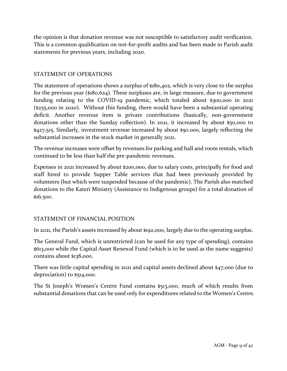the opinion is that donation revenue was not susceptible to satisfactory audit verification. This is a common qualification on not-for-profit audits and has been made in Parish audit statements for previous years, including 2020.

### STATEMENT OF OPERATIONS

The statement of operations shows a surplus of \$180,402, which is very close to the surplus for the previous year (\$180,624). These surpluses are, in large measure, due to government funding relating to the COVID-19 pandemic, which totaled about \$300,000 in 2021 (\$255,000 in 2020). Without this funding, there would have been a substantial operating deficit. Another revenue item is private contributions (basically, non-government donations other than the Sunday collection). In 2021, it increased by about \$50,000 to \$427,515. Similarly, investment revenue increased by about \$50.000, largely reflecting the substantial increases in the stock market in generally 2021.

The revenue increases were offset by revenues for parking and hall and room rentals, which continued to be less than half the pre-pandemic revenues.

Expenses in 2021 increased by about \$200,000, due to salary costs, principally for food and staff hired to provide Supper Table services that had been previously provided by volunteers (but which were suspended because of the pandemic). The Parish also matched donations to the Kateri Ministry (Assistance to Indigenous groups) for a total donation of \$16,500.

# STATEMENT OF FINANCIAL POSITION

In 2021, the Parish's assets increased by about \$192,000, largely due to the operating surplus.

The General Fund, which is unrestricted (can be used for any type of spending), contains \$613,000 while the Capital Asset Renewal Fund (which is to be used as the name suggests) contains about \$138,000.

There was little capital spending in 2021 and capital assets declined about \$47,000 (due to depreciation) to \$514,000.

The St Joseph's Women's Centre Fund contains \$513,000, much of which results from substantial donations that can be used only for expenditures related to the Women's Centre.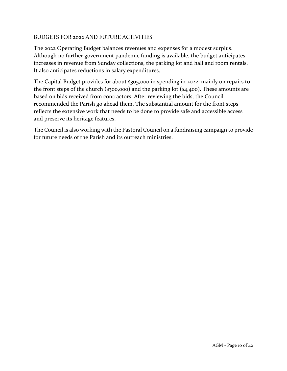### BUDGETS FOR 2022 AND FUTURE ACTIVITIES

The 2022 Operating Budget balances revenues and expenses for a modest surplus. Although no further government pandemic funding is available, the budget anticipates increases in revenue from Sunday collections, the parking lot and hall and room rentals. It also anticipates reductions in salary expenditures.

The Capital Budget provides for about \$305,000 in spending in 2022, mainly on repairs to the front steps of the church (\$300,000) and the parking lot (\$4,400). These amounts are based on bids received from contractors. After reviewing the bids, the Council recommended the Parish go ahead them. The substantial amount for the front steps reflects the extensive work that needs to be done to provide safe and accessible access and preserve its heritage features.

The Council is also working with the Pastoral Council on a fundraising campaign to provide for future needs of the Parish and its outreach ministries.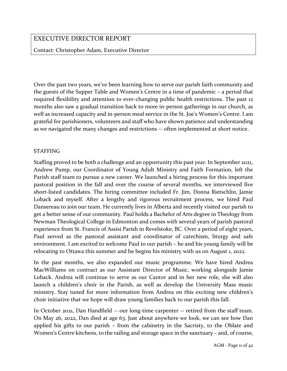# EXECUTIVE DIRECTOR REPORT

Contact: Christopher Adam, Executive Director

Over the past two years, we've been learning how to serve our parish faith community and the guests of the Supper Table and Women's Centre in a time of pandemic – a period that required flexibility and attention to ever-changing public health restrictions. The past 12 months also saw a gradual transition back to more in-person gatherings in our church, as well as increased capacity and in-person meal service in the St. Joe's Women's Centre. I am grateful for parishioners, volunteers and staff who have shown patience and understanding as we navigated the many changes and restrictions -- often implemented at short notice.

#### STAFFING

Staffing proved to be both a challenge and an opportunity this past year. In September 2021, Andrew Pump, our Coordinator of Young Adult Ministry and Faith Formation, left the Parish staff team to pursue a new career. We launched a hiring process for this important pastoral position in the fall and over the course of several months, we interviewed five short-listed candidates. The hiring committee included Fr. Jim, Donna Rietschlin, Jamie Loback and myself. After a lengthy and rigorous recruitment process, we hired Paul Dansereau to join our team. He currently lives in Alberta and recently visited our parish to get a better sense of our community. Paul holds a Bachelor of Arts degree in Theology from Newman Theological College in Edmonton and comes with several years of parish pastoral experience from St. Francis of Assisi Parish in Revelstoke, BC. Over a period of eight years, Paul served as the pastoral assistant and coordinator of catechism, liturgy and safe environment. I am excited to welcome Paul to our parish – he and his young family will be relocating to Ottawa this summer and he begins his ministry with us on August 1, 2022.

In the past months, we also expanded our music programme. We have hired Andrea MacWilliams on contract as our Assistant Director of Music, working alongside Jamie Loback. Andrea will continue to serve as our Cantor and in her new role, she will also launch a children's choir in the Parish, as well as develop the University Mass music ministry. Stay tuned for more information from Andrea on this exciting new children's choir initiative that we hope will draw young families back to our parish this fall.

In October 2021, Dan Handfield -- our long-time carpenter -- retired from the staff team. On May 26, 2022, Dan died at age 63. Just about anywhere we look, we can see how Dan applied his gifts to our parish – from the cabinetry in the Sacristy, to the Oblate and Women's Centre kitchens, to the railing and storage space in the sanctuary – and, of course,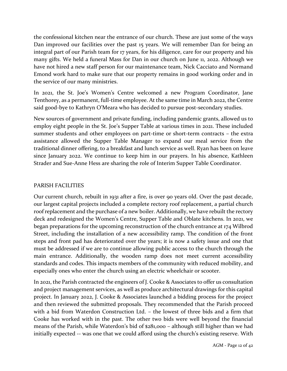the confessional kitchen near the entrance of our church. These are just some of the ways Dan improved our facilities over the past 15 years. We will remember Dan for being an integral part of our Parish team for 17 years, for his diligence, care for our property and his many gifts. We held a funeral Mass for Dan in our church on June 11, 2022. Although we have not hired a new staff person for our maintenance team, Nick Cacciato and Normand Emond work hard to make sure that our property remains in good working order and in the service of our many ministries.

In 2021, the St. Joe's Women's Centre welcomed a new Program Coordinator, Jane Tenthorey, as a permanent, full-time employee. At the same time in March 2022, the Centre said good-bye to Kathryn O'Meara who has decided to pursue post-secondary studies.

New sources of government and private funding, including pandemic grants, allowed us to employ eight people in the St. Joe's Supper Table at various times in 2021. These included summer students and other employees on part-time or short-term contracts – the extra assistance allowed the Supper Table Manager to expand our meal service from the traditional dinner offering, to a breakfast and lunch service as well. Ryan has been on leave since January 2022. We continue to keep him in our prayers. In his absence, Kathleen Strader and Sue-Anne Hess are sharing the role of Interim Supper Table Coordinator.

# PARISH FACILITIES

Our current church, rebuilt in 1931 after a fire, is over 90 years old. Over the past decade, our largest capital projects included a complete rectory roof replacement, a partial church roof replacement and the purchase of a new boiler. Additionally, we have rebuilt the rectory deck and redesigned the Women's Centre, Supper Table and Oblate kitchens. In 2021, we began preparations for the upcoming reconstruction of the church entrance at 174 Wilbrod Street, including the installation of a new accessibility ramp. The condition of the front steps and front pad has deteriorated over the years; it is now a safety issue and one that must be addressed if we are to continue allowing public access to the church through the main entrance. Additionally, the wooden ramp does not meet current accessibility standards and codes. This impacts members of the community with reduced mobility, and especially ones who enter the church using an electric wheelchair or scooter.

In 2021, the Parish contracted the engineers of J. Cooke & Associates to offer us consultation and project management services, as well as produce architectural drawings for this capital project. In January 2022, J. Cooke & Associates launched a bidding process for the project and then reviewed the submitted proposals. They recommended that the Parish proceed with a bid from Waterdon Construction Ltd. – the lowest of three bids and a firm that Cooke has worked with in the past. The other two bids were well beyond the financial means of the Parish, while Waterdon's bid of \$281,000 – although still higher than we had initially expected -- was one that we could afford using the church's existing reserve. With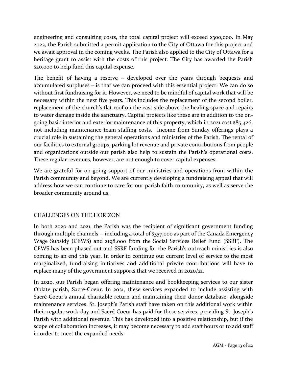engineering and consulting costs, the total capital project will exceed \$300,000. In May 2022, the Parish submitted a permit application to the City of Ottawa for this project and we await approval in the coming weeks. The Parish also applied to the City of Ottawa for a heritage grant to assist with the costs of this project. The City has awarded the Parish \$20,000 to help fund this capital expense.

The benefit of having a reserve – developed over the years through bequests and accumulated surpluses – is that we can proceed with this essential project. We can do so without first fundraising for it. However, we need to be mindful of capital work that will be necessary within the next five years. This includes the replacement of the second boiler, replacement of the church's flat roof on the east side above the healing space and repairs to water damage inside the sanctuary. Capital projects like these are in addition to the ongoing basic interior and exterior maintenance of this property, which in 2021 cost \$85,426, not including maintenance team staffing costs. Income from Sunday offerings plays a crucial role in sustaining the general operations and ministries of the Parish. The rental of our facilities to external groups, parking lot revenue and private contributions from people and organizations outside our parish also help to sustain the Parish's operational costs. These regular revenues, however, are not enough to cover capital expenses.

We are grateful for on-going support of our ministries and operations from within the Parish community and beyond. We are currently developing a fundraising appeal that will address how we can continue to care for our parish faith community, as well as serve the broader community around us.

# CHALLENGES ON THE HORIZON

In both 2020 and 2021, the Parish was the recipient of significant government funding through multiple channels -- including a total of \$357,000 as part of the Canada Emergency Wage Subsidy (CEWS) and \$198,000 from the Social Services Relief Fund (SSRF). The CEWS has been phased out and SSRF funding for the Parish's outreach ministries is also coming to an end this year. In order to continue our current level of service to the most marginalized, fundraising initiatives and additional private contributions will have to replace many of the government supports that we received in 2020/21.

In 2020, our Parish began offering maintenance and bookkeeping services to our sister Oblate parish, Sacré-Coeur. In 2021, these services expanded to include assisting with Sacré-Coeur's annual charitable return and maintaining their donor database, alongside maintenance services. St. Joseph's Parish staff have taken on this additional work within their regular work-day and Sacré-Coeur has paid for these services, providing St. Joseph's Parish with additional revenue. This has developed into a positive relationship, but if the scope of collaboration increases, it may become necessary to add staff hours or to add staff in order to meet the expanded needs.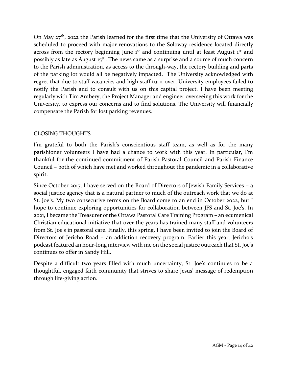On May 27<sup>th</sup>, 2022 the Parish learned for the first time that the University of Ottawa was scheduled to proceed with major renovations to the Soloway residence located directly across from the rectory beginning June  $1<sup>st</sup>$  and continuing until at least August  $1<sup>st</sup>$  and possibly as late as August  $15<sup>th</sup>$ . The news came as a surprise and a source of much concern to the Parish administration, as access to the through-way, the rectory building and parts of the parking lot would all be negatively impacted. The University acknowledged with regret that due to staff vacancies and high staff turn-over, University employees failed to notify the Parish and to consult with us on this capital project. I have been meeting regularly with Tim Ambery, the Project Manager and engineer overseeing this work for the University, to express our concerns and to find solutions. The University will financially compensate the Parish for lost parking revenues.

# CLOSING THOUGHTS

I'm grateful to both the Parish's conscientious staff team, as well as for the many parishioner volunteers I have had a chance to work with this year. In particular, I'm thankful for the continued commitment of Parish Pastoral Council and Parish Finance Council – both of which have met and worked throughout the pandemic in a collaborative spirit.

Since October 2017, I have served on the Board of Directors of Jewish Family Services – a social justice agency that is a natural partner to much of the outreach work that we do at St. Joe's. My two consecutive terms on the Board come to an end in October 2022, but I hope to continue exploring opportunities for collaboration between JFS and St. Joe's. In 2021, I became the Treasurer of the Ottawa Pastoral Care Training Program – an ecumenical Christian educational initiative that over the years has trained many staff and volunteers from St. Joe's in pastoral care. Finally, this spring, I have been invited to join the Board of Directors of Jericho Road – an addiction recovery program. Earlier this year, Jericho's podcast featured an hour-long interview with me on the social justice outreach that St. Joe's continues to offer in Sandy Hill.

Despite a difficult two years filled with much uncertainty, St. Joe's continues to be a thoughtful, engaged faith community that strives to share Jesus' message of redemption through life-giving action.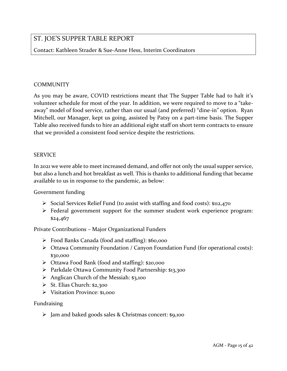# ST. JOE'S SUPPER TABLE REPORT

Contact: Kathleen Strader & Sue-Anne Hess, Interim Coordinators

#### **COMMUNITY**

As you may be aware, COVID restrictions meant that The Supper Table had to halt it's volunteer schedule for most of the year. In addition, we were required to move to a "takeaway" model of food service, rather than our usual (and preferred) "dine-in" option. Ryan Mitchell, our Manager, kept us going, assisted by Patsy on a part-time basis. The Supper Table also received funds to hire an additional eight staff on short term contracts to ensure that we provided a consistent food service despite the restrictions.

#### **SERVICE**

In 2021 we were able to meet increased demand, and offer not only the usual supper service, but also a lunch and hot breakfast as well. This is thanks to additional funding that became available to us in response to the pandemic, as below:

Government funding

- ➢ Social Services Relief Fund (to assist with staffing and food costs): \$112,470
- ➢ Federal government support for the summer student work experience program: \$24,467

Private Contributions – Major Organizational Funders

- ➢ Food Banks Canada (food and staffing): \$60,000
- ➢ Ottawa Community Foundation / Canyon Foundation Fund (for operational costs): \$30,000
- ➢ Ottawa Food Bank (food and staffing): \$20,000
- ➢ Parkdale Ottawa Community Food Partnership: \$13,300
- ➢ Anglican Church of the Messiah: \$3,100
- $\triangleright$  St. Elias Church: \$2,300
- ➢ Visitation Province: \$1,000

#### Fundraising

➢ Jam and baked goods sales & Christmas concert: \$9,100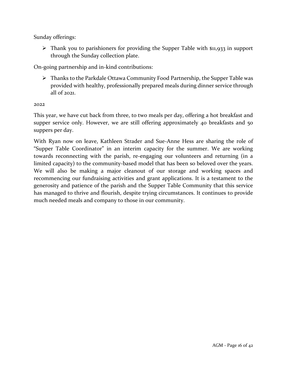Sunday offerings:

 $\triangleright$  Thank you to parishioners for providing the Supper Table with \$11,933 in support through the Sunday collection plate.

On-going partnership and in-kind contributions:

➢ Thanks to the Parkdale Ottawa Community Food Partnership, the Supper Table was provided with healthy, professionally prepared meals during dinner service through all of 2021.

#### 2022

This year, we have cut back from three, to two meals per day, offering a hot breakfast and supper service only. However, we are still offering approximately 40 breakfasts and 50 suppers per day.

With Ryan now on leave, Kathleen Strader and Sue-Anne Hess are sharing the role of "Supper Table Coordinator" in an interim capacity for the summer. We are working towards reconnecting with the parish, re-engaging our volunteers and returning (in a limited capacity) to the community-based model that has been so beloved over the years. We will also be making a major cleanout of our storage and working spaces and recommencing our fundraising activities and grant applications. It is a testament to the generosity and patience of the parish and the Supper Table Community that this service has managed to thrive and flourish, despite trying circumstances. It continues to provide much needed meals and company to those in our community.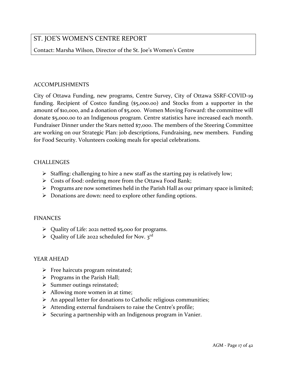# ST. JOE'S WOMEN'S CENTRE REPORT

Contact: Marsha Wilson, Director of the St. Joe's Women's Centre

#### ACCOMPLISHMENTS

City of Ottawa Funding, new programs, Centre Survey, City of Ottawa SSRF-COVID-19 funding. Recipient of Costco funding (\$5,000.00) and Stocks from a supporter in the amount of \$10,000, and a donation of \$5,000. Women Moving Forward: the committee will donate \$5,000.00 to an Indigenous program. Centre statistics have increased each month. Fundraiser Dinner under the Stars netted \$7,000. The members of the Steering Committee are working on our Strategic Plan: job descriptions, Fundraising, new members. Funding for Food Security. Volunteers cooking meals for special celebrations.

#### CHALLENGES

- ➢ Staffing: challenging to hire a new staff as the starting pay is relatively low;
- ➢ Costs of food: ordering more from the Ottawa Food Bank;
- ➢ Programs are now sometimes held in the Parish Hall as our primary space is limited;
- ➢ Donations are down: need to explore other funding options.

#### FINANCES

- ➢ Quality of Life: 2021 netted \$5,000 for programs.
- $\triangleright$  Quality of Life 2022 scheduled for Nov. 3rd

# YEAR AHEAD

- ➢ Free haircuts program reinstated;
- ➢ Programs in the Parish Hall;
- ➢ Summer outings reinstated;
- $\triangleright$  Allowing more women in at time;
- ➢ An appeal letter for donations to Catholic religious communities;
- ➢ Attending external fundraisers to raise the Centre's profile;
- ➢ Securing a partnership with an Indigenous program in Vanier.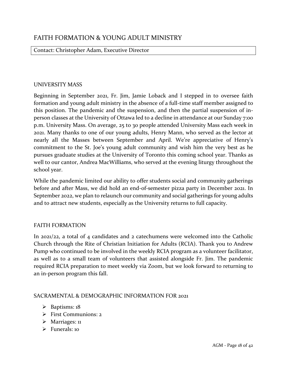### Contact: Christopher Adam, Executive Director

#### UNIVERSITY MASS

Beginning in September 2021, Fr. Jim, Jamie Loback and I stepped in to oversee faith formation and young adult ministry in the absence of a full-time staff member assigned to this position. The pandemic and the suspension, and then the partial suspension of inperson classes at the University of Ottawa led to a decline in attendance at our Sunday 7:00 p.m. University Mass. On average, 25 to 30 people attended University Mass each week in 2021. Many thanks to one of our young adults, Henry Mann, who served as the lector at nearly all the Masses between September and April. We're appreciative of Henry's commitment to the St. Joe's young adult community and wish him the very best as he pursues graduate studies at the University of Toronto this coming school year. Thanks as well to our cantor, Andrea MacWilliams, who served at the evening liturgy throughout the school year.

While the pandemic limited our ability to offer students social and community gatherings before and after Mass, we did hold an end-of-semester pizza party in December 2021. In September 2022, we plan to relaunch our community and social gatherings for young adults and to attract new students, especially as the University returns to full capacity.

#### FAITH FORMATION

In 2021/22, a total of 4 candidates and 2 catechumens were welcomed into the Catholic Church through the Rite of Christian Initiation for Adults (RCIA). Thank you to Andrew Pump who continued to be involved in the weekly RCIA program as a volunteer facilitator, as well as to a small team of volunteers that assisted alongside Fr. Jim. The pandemic required RCIA preparation to meet weekly via Zoom, but we look forward to returning to an in-person program this fall.

#### SACRAMENTAL & DEMOGRAPHIC INFORMATION FOR 2021

- ➢ Baptisms: 18
- ➢ First Communions: 2
- ➢ Marriages: 11
- ➢ Funerals: 10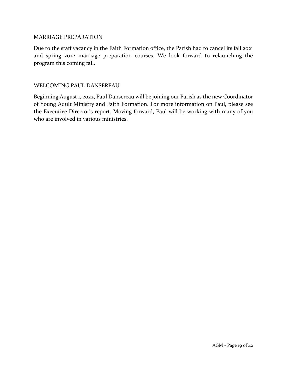#### MARRIAGE PREPARATION

Due to the staff vacancy in the Faith Formation office, the Parish had to cancel its fall 2021 and spring 2022 marriage preparation courses. We look forward to relaunching the program this coming fall.

#### WELCOMING PAUL DANSEREAU

Beginning August 1, 2022, Paul Dansereau will be joining our Parish as the new Coordinator of Young Adult Ministry and Faith Formation. For more information on Paul, please see the Executive Director's report. Moving forward, Paul will be working with many of you who are involved in various ministries.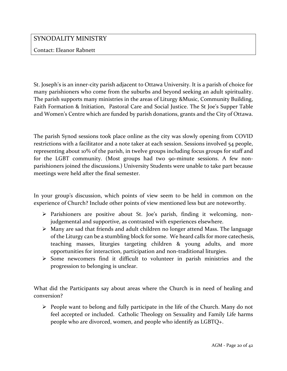# SYNODALITY MINISTRY

# Contact: Eleanor Rabnett

St. Joseph's is an inner-city parish adjacent to Ottawa University. It is a parish of choice for many parishioners who come from the suburbs and beyond seeking an adult spirituality. The parish supports many ministries in the areas of Liturgy &Music, Community Building, Faith Formation & Initiation, Pastoral Care and Social Justice. The St Joe's Supper Table and Women's Centre which are funded by parish donations, grants and the City of Ottawa.

The parish Synod sessions took place online as the city was slowly opening from COVID restrictions with a facilitator and a note taker at each session. Sessions involved 54 people, representing about 10% of the parish, in twelve groups including focus groups for staff and for the LGBT community. (Most groups had two 90-minute sessions. A few nonparishioners joined the discussions.) University Students were unable to take part because meetings were held after the final semester.

In your group's discussion, which points of view seem to be held in common on the experience of Church? Include other points of view mentioned less but are noteworthy.

- ➢ Parishioners are positive about St. Joe's parish, finding it welcoming, nonjudgemental and supportive, as contrasted with experiences elsewhere.
- ➢ Many are sad that friends and adult children no longer attend Mass. The language of the Liturgy can be a stumbling block for some. We heard calls for more catechesis, teaching masses, liturgies targeting children & young adults, and more opportunities for interaction, participation and non-traditional liturgies.
- ➢ Some newcomers find it difficult to volunteer in parish ministries and the progression to belonging is unclear.

What did the Participants say about areas where the Church is in need of healing and conversion?

➢ People want to belong and fully participate in the life of the Church. Many do not feel accepted or included. Catholic Theology on Sexuality and Family Life harms people who are divorced, women, and people who identify as LGBTQ+.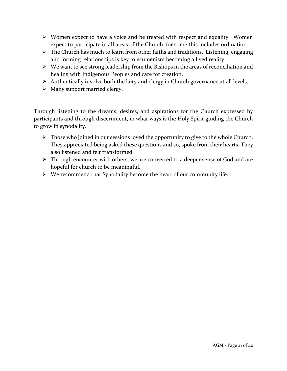- ➢ Women expect to have a voice and be treated with respect and equality. Women expect to participate in all areas of the Church; for some this includes ordination.
- $\triangleright$  The Church has much to learn from other faiths and traditions. Listening, engaging and forming relationships is key to ecumenism becoming a lived reality.
- ➢ We want to see strong leadership from the Bishops in the areas of reconciliation and healing with Indigenous Peoples and care for creation.
- ➢ Authentically involve both the laity and clergy in Church governance at all levels.
- ➢ Many support married clergy.

Through listening to the dreams, desires, and aspirations for the Church expressed by participants and through discernment, in what ways is the Holy Spirit guiding the Church to grow in synodality.

- $\triangleright$  Those who joined in our sessions loved the opportunity to give to the whole Church. They appreciated being asked these questions and so, spoke from their hearts. They also listened and felt transformed.
- ➢ Through encounter with others, we are converted to a deeper sense of God and are hopeful for church to be meaningful.
- ➢ We recommend that Synodality become the heart of our community life.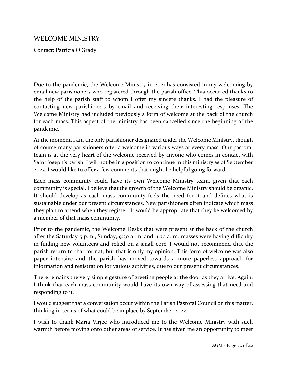# WELCOME MINISTRY

Contact: Patricia O'Grady

Due to the pandemic, the Welcome Ministry in 2021 has consisted in my welcoming by email new parishioners who registered through the parish office. This occurred thanks to the help of the parish staff to whom I offer my sincere thanks. I had the pleasure of contacting new parishioners by email and receiving their interesting responses. The Welcome Ministry had included previously a form of welcome at the back of the church for each mass. This aspect of the ministry has been cancelled since the beginning of the pandemic.

At the moment, I am the only parishioner designated under the Welcome Ministry, though of course many parishioners offer a welcome in various ways at every mass. Our pastoral team is at the very heart of the welcome received by anyone who comes in contact with Saint Joseph's parish. I will not be in a position to continue in this ministry as of September 2022. I would like to offer a few comments that might be helpful going forward.

Each mass community could have its own Welcome Ministry team, given that each community is special. I believe that the growth of the Welcome Ministry should be organic. It should develop as each mass community feels the need for it and defines what is sustainable under our present circumstances. New parishioners often indicate which mass they plan to attend when they register. It would be appropriate that they be welcomed by a member of that mass community.

Prior to the pandemic, the Welcome Desks that were present at the back of the church after the Saturday 5 p.m., Sunday, 9:30 a. m. and 11:30 a. m. masses were having difficulty in finding new volunteers and relied on a small core. I would not recommend that the parish return to that format, but that is only my opinion. This form of welcome was also paper intensive and the parish has moved towards a more paperless approach for information and registration for various activities, due to our present circumstances.

There remains the very simple gesture of greeting people at the door as they arrive. Again, I think that each mass community would have its own way of assessing that need and responding to it.

I would suggest that a conversation occur within the Parish Pastoral Council on this matter, thinking in terms of what could be in place by September 2022.

I wish to thank Maria Virjee who introduced me to the Welcome Ministry with such warmth before moving onto other areas of service. It has given me an opportunity to meet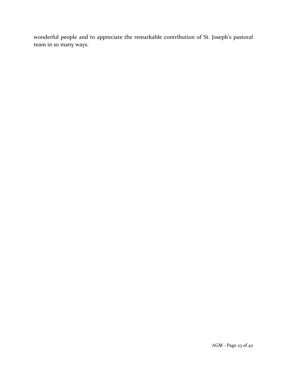wonderful people and to appreciate the remarkable contribution of St. Joseph's pastoral team in so many ways.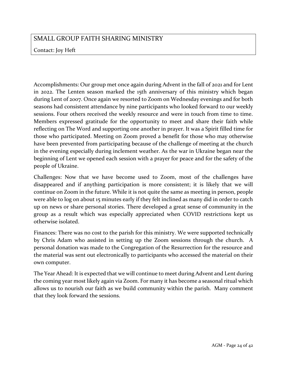# SMALL GROUP FAITH SHARING MINISTRY

# Contact: Joy Heft

Accomplishments: Our group met once again during Advent in the fall of 2021 and for Lent in 2022. The Lenten season marked the 15th anniversary of this ministry which began during Lent of 2007. Once again we resorted to Zoom on Wednesday evenings and for both seasons had consistent attendance by nine participants who looked forward to our weekly sessions. Four others received the weekly resource and were in touch from time to time. Members expressed gratitude for the opportunity to meet and share their faith while reflecting on The Word and supporting one another in prayer. It was a Spirit filled time for those who participated. Meeting on Zoom proved a benefit for those who may otherwise have been prevented from participating because of the challenge of meeting at the church in the evening especially during inclement weather. As the war in Ukraine began near the beginning of Lent we opened each session with a prayer for peace and for the safety of the people of Ukraine.

Challenges: Now that we have become used to Zoom, most of the challenges have disappeared and if anything participation is more consistent; it is likely that we will continue on Zoom in the future. While it is not quite the same as meeting in person, people were able to log on about 15 minutes early if they felt inclined as many did in order to catch up on news or share personal stories. There developed a great sense of community in the group as a result which was especially appreciated when COVID restrictions kept us otherwise isolated.

Finances: There was no cost to the parish for this ministry. We were supported technically by Chris Adam who assisted in setting up the Zoom sessions through the church. A personal donation was made to the Congregation of the Resurrection for the resource and the material was sent out electronically to participants who accessed the material on their own computer.

The Year Ahead: It is expected that we will continue to meet during Advent and Lent during the coming year most likely again via Zoom. For many it has become a seasonal ritual which allows us to nourish our faith as we build community within the parish. Many comment that they look forward the sessions.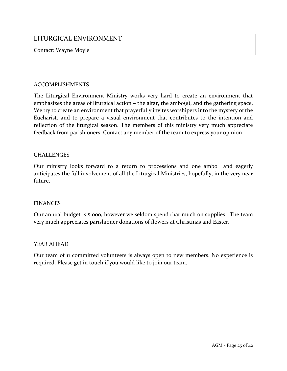# Contact: Wayne Moyle

### ACCOMPLISHMENTS

The Liturgical Environment Ministry works very hard to create an environment that emphasizes the areas of liturgical action – the altar, the ambo(s), and the gathering space. We try to create an environment that prayerfully invites worshipers into the mystery of the Eucharist. and to prepare a visual environment that contributes to the intention and reflection of the liturgical season. The members of this ministry very much appreciate feedback from parishioners. Contact any member of the team to express your opinion.

#### **CHALLENGES**

Our ministry looks forward to a return to processions and one ambo and eagerly anticipates the full involvement of all the Liturgical Ministries, hopefully, in the very near future.

#### FINANCES

Our annual budget is \$1000, however we seldom spend that much on supplies. The team very much appreciates parishioner donations of flowers at Christmas and Easter.

#### YEAR AHEAD

Our team of 11 committed volunteers is always open to new members. No experience is required. Please get in touch if you would like to join our team.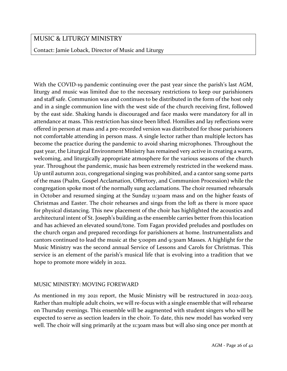# MUSIC & LITURGY MINISTRY

# Contact: Jamie Loback, Director of Music and Liturgy

With the COVID-19 pandemic continuing over the past year since the parish's last AGM, liturgy and music was limited due to the necessary restrictions to keep our parishioners and staff safe. Communion was and continues to be distributed in the form of the host only and in a single communion line with the west side of the church receiving first, followed by the east side. Shaking hands is discouraged and face masks were mandatory for all in attendance at mass. This restriction has since been lifted. Homilies and lay reflections were offered in person at mass and a pre-recorded version was distributed for those parishioners not comfortable attending in person mass. A single lector rather than multiple lectors has become the practice during the pandemic to avoid sharing microphones. Throughout the past year, the Liturgical Environment Ministry has remained very active in creating a warm, welcoming, and liturgically appropriate atmosphere for the various seasons of the church year. Throughout the pandemic, music has been extremely restricted in the weekend mass. Up until autumn 2021, congregational singing was prohibited, and a cantor sang some parts of the mass (Psalm, Gospel Acclamation, Offertory, and Communion Procession) while the congregation spoke most of the normally sung acclamations. The choir resumed rehearsals in October and resumed singing at the Sunday 11:30am mass and on the higher feasts of Christmas and Easter. The choir rehearses and sings from the loft as there is more space for physical distancing. This new placement of the choir has highlighted the acoustics and architectural intent of St. Joseph's building as the ensemble carries better from this location and has achieved an elevated sound/tone. Tom Fagan provided preludes and postludes on the church organ and prepared recordings for parishioners at home. Instrumentalists and cantors continued to lead the music at the 5:00pm and 9:30am Masses. A highlight for the Music Ministry was the second annual Service of Lessons and Carols for Christmas. This service is an element of the parish's musical life that is evolving into a tradition that we hope to promote more widely in 2022.

#### MUSIC MINISTRY: MOVING FOREWARD

As mentioned in my 2021 report, the Music Ministry will be restructured in 2022-2023. Rather than multiple adult choirs, we will re-focus with a single ensemble that will rehearse on Thursday evenings. This ensemble will be augmented with student singers who will be expected to serve as section leaders in the choir. To date, this new model has worked very well. The choir will sing primarily at the 11:30am mass but will also sing once per month at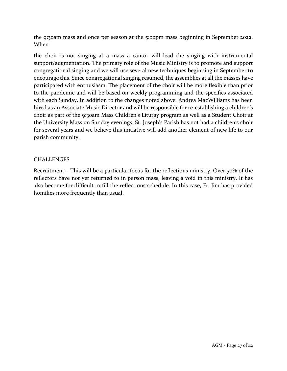the 9:30am mass and once per season at the 5:00pm mass beginning in September 2022. When

the choir is not singing at a mass a cantor will lead the singing with instrumental support/augmentation. The primary role of the Music Ministry is to promote and support congregational singing and we will use several new techniques beginning in September to encourage this. Since congregational singing resumed, the assemblies at all the masses have participated with enthusiasm. The placement of the choir will be more flexible than prior to the pandemic and will be based on weekly programming and the specifics associated with each Sunday. In addition to the changes noted above, Andrea MacWilliams has been hired as an Associate Music Director and will be responsible for re-establishing a children's choir as part of the 9:30am Mass Children's Liturgy program as well as a Student Choir at the University Mass on Sunday evenings. St. Joseph's Parish has not had a children's choir for several years and we believe this initiative will add another element of new life to our parish community.

#### CHALLENGES

Recruitment – This will be a particular focus for the reflections ministry. Over 50% of the reflectors have not yet returned to in person mass, leaving a void in this ministry. It has also become for difficult to fill the reflections schedule. In this case, Fr. Jim has provided homilies more frequently than usual.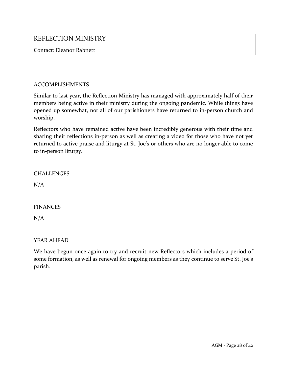# REFLECTION MINISTRY

# Contact: Eleanor Rabnett

#### ACCOMPLISHMENTS

Similar to last year, the Reflection Ministry has managed with approximately half of their members being active in their ministry during the ongoing pandemic. While things have opened up somewhat, not all of our parishioners have returned to in-person church and worship.

Reflectors who have remained active have been incredibly generous with their time and sharing their reflections in-person as well as creating a video for those who have not yet returned to active praise and liturgy at St. Joe's or others who are no longer able to come to in-person liturgy.

#### **CHALLENGES**

N/A

#### **FINANCES**

 $N/A$ 

#### YEAR AHEAD

We have begun once again to try and recruit new Reflectors which includes a period of some formation, as well as renewal for ongoing members as they continue to serve St. Joe's parish.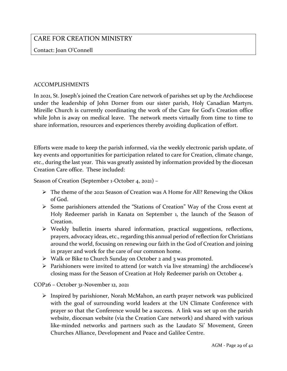# Contact: Joan O'Connell

### ACCOMPLISHMENTS

In 2021, St. Joseph's joined the Creation Care network of parishes set up by the Archdiocese under the leadership of John Dorner from our sister parish, Holy Canadian Martyrs. Mireille Church is currently coordinating the work of the Care for God's Creation office while John is away on medical leave. The network meets virtually from time to time to share information, resources and experiences thereby avoiding duplication of effort.

Efforts were made to keep the parish informed, via the weekly electronic parish update, of key events and opportunities for participation related to care for Creation, climate change, etc., during the last year. This was greatly assisted by information provided by the diocesan Creation Care office. These included:

Season of Creation (September 1-October 4, 2021) –

- ➢ The theme of the 2021 Season of Creation was A Home for All? Renewing the Oikos of God.
- ➢ Some parishioners attended the "Stations of Creation" Way of the Cross event at Holy Redeemer parish in Kanata on September 1, the launch of the Season of Creation.
- ➢ Weekly bulletin inserts shared information, practical suggestions, reflections, prayers, advocacy ideas, etc., regarding this annual period of reflection for Christians around the world, focusing on renewing our faith in the God of Creation and joining in prayer and work for the care of our common home.
- ➢ Walk or Bike to Church Sunday on October 2 and 3 was promoted.
- ➢ Parishioners were invited to attend (or watch via live streaming) the archdiocese's closing mass for the Season of Creation at Holy Redeemer parish on October 4.

COP26 – October 31-November 12, 2021

➢ Inspired by parishioner, Norah McMahon, an earth prayer network was publicized with the goal of surrounding world leaders at the UN Climate Conference with prayer so that the Conference would be a success. A link was set up on the parish website, diocesan website (via the Creation Care network) and shared with various like-minded networks and partners such as the Laudato Si' Movement, Green Churches Alliance, Development and Peace and Galilee Centre.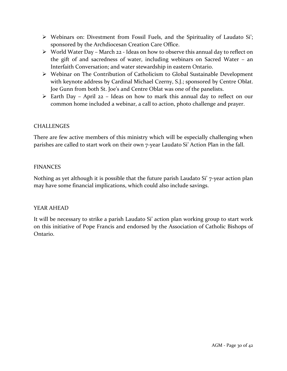- ➢ Webinars on: Divestment from Fossil Fuels, and the Spirituality of Laudato Si'; sponsored by the Archdiocesan Creation Care Office.
- ➢ World Water Day March 22 Ideas on how to observe this annual day to reflect on the gift of and sacredness of water, including webinars on Sacred Water – an Interfaith Conversation; and water stewardship in eastern Ontario.
- ➢ Webinar on The Contribution of Catholicism to Global Sustainable Development with keynote address by Cardinal Michael Czerny, S.J.; sponsored by Centre Oblat. Joe Gunn from both St. Joe's and Centre Oblat was one of the panelists.
- ➢ Earth Day April 22 Ideas on how to mark this annual day to reflect on our common home included a webinar, a call to action, photo challenge and prayer.

# CHALLENGES

There are few active members of this ministry which will be especially challenging when parishes are called to start work on their own 7-year Laudato Si' Action Plan in the fall.

# FINANCES

Nothing as yet although it is possible that the future parish Laudato Si' 7-year action plan may have some financial implications, which could also include savings.

# YEAR AHEAD

It will be necessary to strike a parish Laudato Si' action plan working group to start work on this initiative of Pope Francis and endorsed by the Association of Catholic Bishops of Ontario.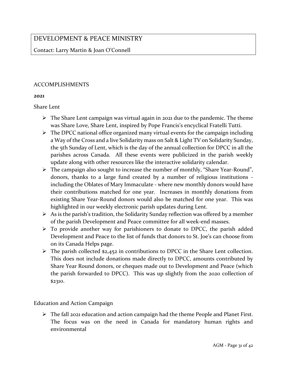# DEVELOPMENT & PEACE MINISTRY

# Contact: Larry Martin & Joan O'Connell

#### ACCOMPLISHMENTS

#### **2021**

# Share Lent

- $\triangleright$  The Share Lent campaign was virtual again in 2021 due to the pandemic. The theme was Share Love, Share Lent, inspired by Pope Francis's encyclical Fratelli Tutti.
- $\triangleright$  The DPCC national office organized many virtual events for the campaign including a Way of the Cross and a live Solidarity mass on Salt & Light TV on Solidarity Sunday, the 5th Sunday of Lent, which is the day of the annual collection for DPCC in all the parishes across Canada. All these events were publicized in the parish weekly update along with other resources like the interactive solidarity calendar.
- ➢ The campaign also sought to increase the number of monthly, "Share Year-Round", donors, thanks to a large fund created by a number of religious institutions including the Oblates of Mary Immaculate - where new monthly donors would have their contributions matched for one year. Increases in monthly donations from existing Share Year-Round donors would also be matched for one year. This was highlighted in our weekly electronic parish updates during Lent.
- $\triangleright$  As is the parish's tradition, the Solidarity Sunday reflection was offered by a member of the parish Development and Peace committee for all week-end masses.
- ➢ To provide another way for parishioners to donate to DPCC, the parish added Development and Peace to the list of funds that donors to St. Joe's can choose from on its Canada Helps page.
- $\triangleright$  The parish collected \$2,452 in contributions to DPCC in the Share Lent collection. This does not include donations made directly to DPCC, amounts contributed by Share Year Round donors, or cheques made out to Development and Peace (which the parish forwarded to DPCC). This was up slightly from the 2020 collection of \$2310.

# Education and Action Campaign

➢ The fall 2021 education and action campaign had the theme People and Planet First. The focus was on the need in Canada for mandatory human rights and environmental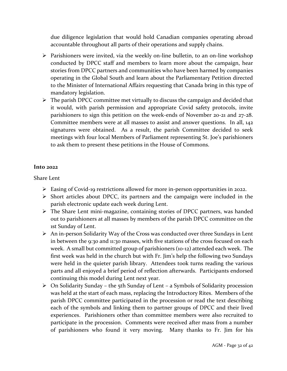due diligence legislation that would hold Canadian companies operating abroad accountable throughout all parts of their operations and supply chains.

- ➢ Parishioners were invited, via the weekly on-line bulletin, to an on-line workshop conducted by DPCC staff and members to learn more about the campaign, hear stories from DPCC partners and communities who have been harmed by companies operating in the Global South and learn about the Parliamentary Petition directed to the Minister of International Affairs requesting that Canada bring in this type of mandatory legislation.
- $\triangleright$  The parish DPCC committee met virtually to discuss the campaign and decided that it would, with parish permission and appropriate Covid safety protocols, invite parishioners to sign this petition on the week-ends of November 20-21 and 27-28. Committee members were at all masses to assist and answer questions. In all, 142 signatures were obtained. As a result, the parish Committee decided to seek meetings with four local Members of Parliament representing St. Joe's parishioners to ask them to present these petitions in the House of Commons.

#### **Into 2022**

Share Lent

- ➢ Easing of Covid-19 restrictions allowed for more in-person opportunities in 2022.
- ➢ Short articles about DPCC, its partners and the campaign were included in the parish electronic update each week during Lent.
- ➢ The Share Lent mini-magazine, containing stories of DPCC partners, was handed out to parishioners at all masses by members of the parish DPCC committee on the 1st Sunday of Lent.
- ➢ An in-person Solidarity Way of the Cross was conducted over three Sundays in Lent in between the 9:30 and 11:30 masses, with five stations of the cross focused on each week. A small but committed group of parishioners (10-12) attended each week. The first week was held in the church but with Fr. Jim's help the following two Sundays were held in the quieter parish library. Attendees took turns reading the various parts and all enjoyed a brief period of reflection afterwards. Participants endorsed continuing this model during Lent next year.
- ➢ On Solidarity Sunday the 5th Sunday of Lent a Symbols of Solidarity procession was held at the start of each mass, replacing the Introductory Rites. Members of the parish DPCC committee participated in the procession or read the text describing each of the symbols and linking them to partner groups of DPCC and their lived experiences. Parishioners other than committee members were also recruited to participate in the procession. Comments were received after mass from a number of parishioners who found it very moving. Many thanks to Fr. Jim for his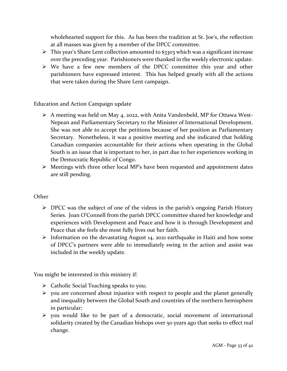wholehearted support for this. As has been the tradition at St. Joe's, the reflection at all masses was given by a member of the DPCC committee.

- ➢ This year's Share Lent collection amounted to \$3303 which was a significant increase over the preceding year. Parishioners were thanked in the weekly electronic update.
- ➢ We have a few new members of the DPCC committee this year and other parishioners have expressed interest. This has helped greatly with all the actions that were taken during the Share Lent campaign.

Education and Action Campaign update

- ➢ A meeting was held on May 4, 2022, with Anita Vandenbeld, MP for Ottawa West-Nepean and Parliamentary Secretary to the Minister of International Development. She was not able to accept the petitions because of her position as Parliamentary Secretary. Nonetheless, it was a positive meeting and she indicated that holding Canadian companies accountable for their actions when operating in the Global South is an issue that is important to her, in part due to her experiences working in the Democratic Republic of Congo.
- ➢ Meetings with three other local MP's have been requested and appointment dates are still pending.

# **Other**

- ➢ DPCC was the subject of one of the videos in the parish's ongoing Parish History Series. Joan O'Connell from the parish DPCC committee shared her knowledge and experiences with Development and Peace and how it is through Development and Peace that she feels she most fully lives out her faith.
- $\triangleright$  Information on the devastating August 14, 2021 earthquake in Haiti and how some of DPCC's partners were able to immediately swing in the action and assist was included in the weekly update.

You might be interested in this ministry if:

- ➢ Catholic Social Teaching speaks to you;
- $\triangleright$  you are concerned about injustice with respect to people and the planet generally and inequality between the Global South and countries of the northern hemisphere in particular;
- ➢ you would like to be part of a democratic, social movement of international solidarity created by the Canadian bishops over 50 years ago that seeks to effect real change.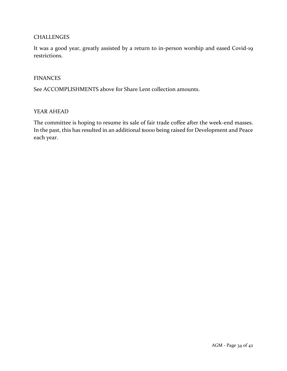#### **CHALLENGES**

It was a good year, greatly assisted by a return to in-person worship and eased Covid-19 restrictions.

#### FINANCES

See ACCOMPLISHMENTS above for Share Lent collection amounts.

#### YEAR AHEAD

The committee is hoping to resume its sale of fair trade coffee after the week-end masses. In the past, this has resulted in an additional \$1000 being raised for Development and Peace each year.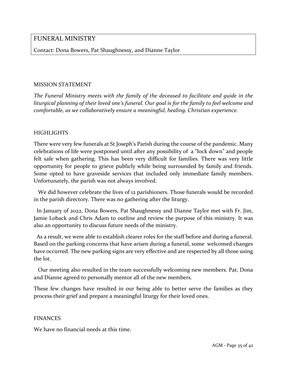# FUNERAL MINISTRY

Contact: Dona Bowers, Pat Shaughnessy, and Dianne Taylor

#### MISSION STATEMENT

*The Funeral Ministry meets with the family of the deceased to facilitate and guide in the liturgical planning of their loved one's funeral. Our goal is for the family to feel welcome and comfortable, as we collaboratively ensure a meaningful, healing, Christian experience.*

#### HIGHLIGHTS

There were very few funerals at St Joseph's Parish during the course of the pandemic. Many celebrations of life were postponed until after any possibility of a "lock down" and people felt safe when gathering. This has been very difficult for families. There was very little opportunity for people to grieve publicly while being surrounded by family and friends. Some opted to have graveside services that included only immediate family members. Unfortunately, the parish was not always involved.

 We did however celebrate the lives of 12 parishioners. Those funerals would be recorded in the parish directory. There was no gathering after the liturgy.

 In January of 2022, Dona Bowers, Pat Shaughnessy and Dianne Taylor met with Fr. Jim, Jamie Loback and Chris Adam to outline and review the purpose of this ministry. It was also an opportunity to discuss future needs of the ministry.

 As a result, we were able to establish clearer roles for the staff before and during a funeral. Based on the parking concerns that have arisen during a funeral, some welcomed changes have occurred. The new parking signs are very effective and are respected by all those using the lot.

 Our meeting also resulted in the team successfully welcoming new members. Pat, Dona and Dianne agreed to personally mentor all of the new members.

These few changes have resulted in our being able to better serve the families as they process their grief and prepare a meaningful liturgy for their loved ones.

#### FINANCES

We have no financial needs at this time.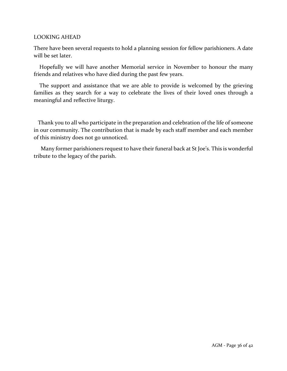#### LOOKING AHEAD

There have been several requests to hold a planning session for fellow parishioners. A date will be set later.

 Hopefully we will have another Memorial service in November to honour the many friends and relatives who have died during the past few years.

 The support and assistance that we are able to provide is welcomed by the grieving families as they search for a way to celebrate the lives of their loved ones through a meaningful and reflective liturgy.

 Thank you to all who participate in the preparation and celebration of the life of someone in our community. The contribution that is made by each staff member and each member of this ministry does not go unnoticed.

 Many former parishioners request to have their funeral back at St Joe's. This is wonderful tribute to the legacy of the parish.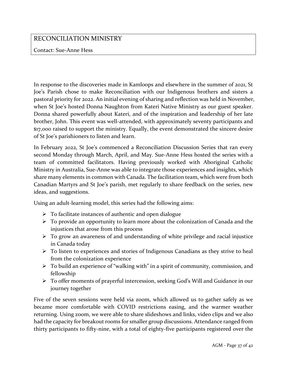# RECONCILIATION MINISTRY

Contact: Sue-Anne Hess

In response to the discoveries made in Kamloops and elsewhere in the summer of 2021, St Joe's Parish chose to make Reconciliation with our Indigenous brothers and sisters a pastoral priority for 2022. An initial evening of sharing and reflection was held in November, when St Joe's hosted Donna Naughton from Kateri Native Ministry as our guest speaker. Donna shared powerfully about Kateri, and of the inspiration and leadership of her late brother, John. This event was well-attended, with approximately seventy participants and \$17,000 raised to support the ministry. Equally, the event demonstrated the sincere desire of St Joe's parishioners to listen and learn.

In February 2022, St Joe's commenced a Reconciliation Discussion Series that ran every second Monday through March, April, and May. Sue-Anne Hess hosted the series with a team of committed facilitators. Having previously worked with Aboriginal Catholic Ministry in Australia, Sue-Anne was able to integrate those experiences and insights, which share many elements in common with Canada. The facilitation team, which were from both Canadian Martyrs and St Joe's parish, met regularly to share feedback on the series, new ideas, and suggestions.

Using an adult-learning model, this series had the following aims:

- $\triangleright$  To facilitate instances of authentic and open dialogue
- ➢ To provide an opportunity to learn more about the colonization of Canada and the injustices that arose from this process
- $\triangleright$  To grow an awareness of and understanding of white privilege and racial injustice in Canada today
- ➢ To listen to experiences and stories of Indigenous Canadians as they strive to heal from the colonization experience
- ➢ To build an experience of "walking with" in a spirit of community, commission, and fellowship
- ➢ To offer moments of prayerful intercession, seeking God's Will and Guidance in our journey together

Five of the seven sessions were held via zoom, which allowed us to gather safely as we became more comfortable with COVID restrictions easing, and the warmer weather returning. Using zoom, we were able to share slideshows and links, video clips and we also had the capacity for breakout rooms for smaller group discussions. Attendance ranged from thirty participants to fifty-nine, with a total of eighty-five participants registered over the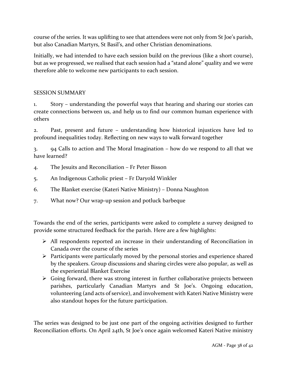course of the series. It was uplifting to see that attendees were not only from St Joe's parish, but also Canadian Martyrs, St Basil's, and other Christian denominations.

Initially, we had intended to have each session build on the previous (like a short course), but as we progressed, we realised that each session had a "stand alone" quality and we were therefore able to welcome new participants to each session.

# SESSION SUMMARY

1. Story – understanding the powerful ways that hearing and sharing our stories can create connections between us, and help us to find our common human experience with others

2. Past, present and future – understanding how historical injustices have led to profound inequalities today. Reflecting on new ways to walk forward together

3. 94 Calls to action and The Moral Imagination – how do we respond to all that we have learned?

- 4. The Jesuits and Reconciliation Fr Peter Bisson
- 5. An Indigenous Catholic priest Fr Daryold Winkler
- 6. The Blanket exercise (Kateri Native Ministry) Donna Naughton
- 7. What now? Our wrap-up session and potluck barbeque

Towards the end of the series, participants were asked to complete a survey designed to provide some structured feedback for the parish. Here are a few highlights:

- ➢ All respondents reported an increase in their understanding of Reconciliation in Canada over the course of the series
- ➢ Participants were particularly moved by the personal stories and experience shared by the speakers. Group discussions and sharing circles were also popular, as well as the experiential Blanket Exercise
- ➢ Going forward, there was strong interest in further collaborative projects between parishes, particularly Canadian Martyrs and St Joe's. Ongoing education, volunteering (and acts of service), and involvement with Kateri Native Ministry were also standout hopes for the future participation.

The series was designed to be just one part of the ongoing activities designed to further Reconciliation efforts. On April 24th, St Joe's once again welcomed Kateri Native ministry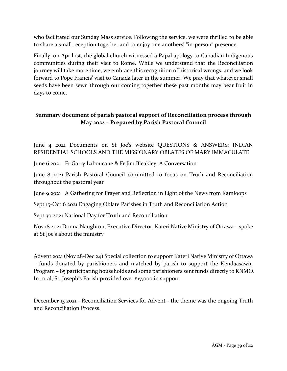who facilitated our Sunday Mass service. Following the service, we were thrilled to be able to share a small reception together and to enjoy one anothers' "in-person" presence.

Finally, on April 1st, the global church witnessed a Papal apology to Canadian Indigenous communities during their visit to Rome. While we understand that the Reconciliation journey will take more time, we embrace this recognition of historical wrongs, and we look forward to Pope Francis' visit to Canada later in the summer. We pray that whatever small seeds have been sewn through our coming together these past months may bear fruit in days to come.

# **Summary document of parish pastoral support of Reconciliation process through May 2022 – Prepared by Parish Pastoral Council**

June 4 2021 Documents on St Joe's website QUESTIONS & ANSWERS: INDIAN RESIDENTIAL SCHOOLS AND THE MISSIONARY OBLATES OF MARY IMMACULATE

June 6 2021 Fr Garry Laboucane & Fr Jim Bleakley: A Conversation

June 8 2021 Parish Pastoral Council committed to focus on Truth and Reconciliation throughout the pastoral year

June 9 2021 A Gathering for Prayer and Reflection in Light of the News from Kamloops

Sept 15-Oct 6 2021 Engaging Oblate Parishes in Truth and Reconciliation Action

Sept 30 2021 National Day for Truth and Reconciliation

Nov 18 2021 Donna Naughton, Executive Director, Kateri Native Ministry of Ottawa – spoke at St Joe's about the ministry

Advent 2021 (Nov 28-Dec 24) Special collection to support Kateri Native Ministry of Ottawa – funds donated by parishioners and matched by parish to support the Kendaasawin Program – 85 participating households and some parishioners sent funds directly to KNMO. In total, St. Joseph's Parish provided over \$17,000 in support.

December 13 2021 - Reconciliation Services for Advent - the theme was the ongoing Truth and Reconciliation Process.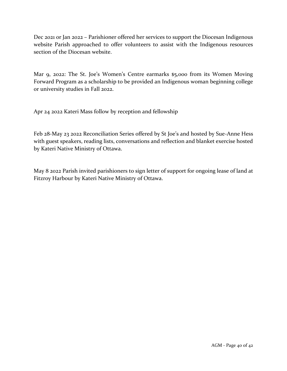Dec 2021 or Jan 2022 – Parishioner offered her services to support the Diocesan Indigenous website Parish approached to offer volunteers to assist with the Indigenous resources section of the Diocesan website.

Mar 9, 2022: The St. Joe's Women's Centre earmarks \$5,000 from its Women Moving Forward Program as a scholarship to be provided an Indigenous woman beginning college or university studies in Fall 2022.

Apr 24 2022 Kateri Mass follow by reception and fellowship

Feb 28-May 23 2022 Reconciliation Series offered by St Joe's and hosted by Sue-Anne Hess with guest speakers, reading lists, conversations and reflection and blanket exercise hosted by Kateri Native Ministry of Ottawa.

May 8 2022 Parish invited parishioners to sign letter of support for ongoing lease of land at Fitzroy Harbour by Kateri Native Ministry of Ottawa.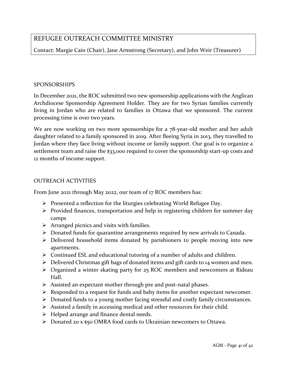# REFUGEE OUTREACH COMMITTEE MINISTRY

Contact: Margie Cain (Chair), Jane Armstrong (Secretary), and John Weir (Treasurer)

#### SPONSORSHIPS

In December 2021, the ROC submitted two new sponsorship applications with the Anglican Archdiocese Sponsorship Agreement Holder. They are for two Syrian families currently living in Jordan who are related to families in Ottawa that we sponsored. The current processing time is over two years.

We are now working on two more sponsorships for a 78-year-old mother and her adult daughter related to a family sponsored in 2019. After fleeing Syria in 2013, they travelled to Jordan where they face living without income or family support. Our goal is to organize a settlement team and raise the \$33,000 required to cover the sponsorship start-up costs and 12 months of income support.

#### OUTREACH ACTIVITIES

From June 2021 through May 2022, our team of 17 ROC members has:

- ➢ Presented a reflection for the liturgies celebrating World Refugee Day.
- ➢ Provided finances, transportation and help in registering children for summer day camps
- $\triangleright$  Arranged picnics and visits with families.
- ➢ Donated funds for quarantine arrangements required by new arrivals to Canada.
- ➢ Delivered household items donated by parishioners to people moving into new apartments.
- ➢ Continued ESL and educational tutoring of a number of adults and children.
- ➢ Delivered Christmas gift bags of donated items and gift cards to 14 women and men.
- ➢ Organized a winter skating party for 25 ROC members and newcomers at Rideau Hall.
- ➢ Assisted an expectant mother through pre and post-natal phases.
- ➢ Responded to a request for funds and baby items for another expectant newcomer.
- ➢ Donated funds to a young mother facing stressful and costly family circumstances.
- ➢ Assisted a family in accessing medical and other resources for their child.
- ➢ Helped arrange and finance dental needs.
- ➢ Donated 20 x \$50 OMRA food cards to Ukrainian newcomers to Ottawa.